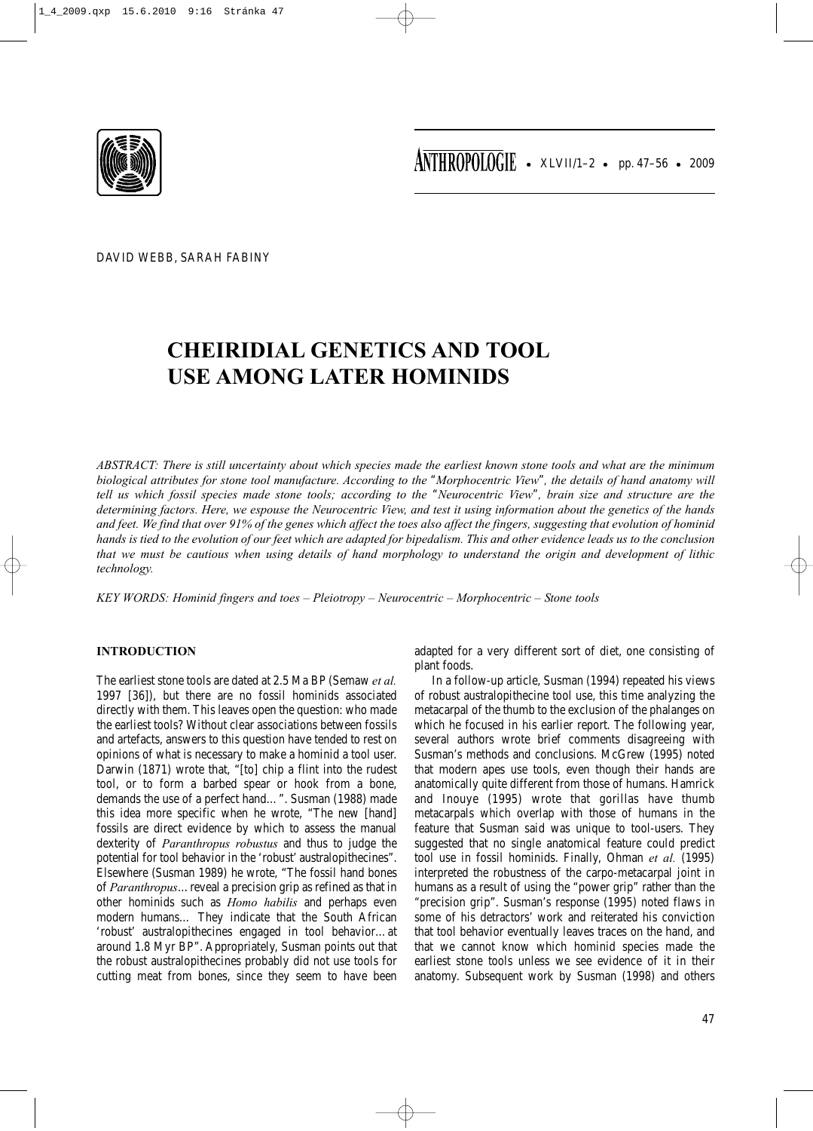

DAVID WEBB, SARAH FABINY

# **CHEIRIDIAL GENETICS AND TOOL USE AMONG LATER HOMINIDS**

*ABSTRACT: There is still uncertainty about which species made the earliest known stone tools and what are the minimum biological attributes for stone tool manufacture. According to the* "*Morphocentric View*"*, the details of hand anatomy will tell us which fossil species made stone tools; according to the* "*Neurocentric View*"*, brain size and structure are the determining factors. Here, we espouse the Neurocentric View, and test it using information about the genetics of the hands and feet. We find that over 91% of the genes which affect the toes also affect the fingers, suggesting that evolution of hominid hands is tied to the evolution of our feet which are adapted for bipedalism. This and other evidence leads us to the conclusion that we must be cautious when using details of hand morphology to understand the origin and development of lithic technology.*

*KEY WORDS: Hominid fingers and toes – Pleiotropy – Neurocentric – Morphocentric – Stone tools*

# **INTRODUCTION**

The earliest stone tools are dated at 2.5 Ma BP (Semaw *et al.* 1997 [36]), but there are no fossil hominids associated directly with them. This leaves open the question: who made the earliest tools? Without clear associations between fossils and artefacts, answers to this question have tended to rest on opinions of what is necessary to make a hominid a tool user. Darwin (1871) wrote that, "[to] chip a flint into the rudest tool, or to form a barbed spear or hook from a bone, demands the use of a perfect hand…". Susman (1988) made this idea more specific when he wrote, "The new [hand] fossils are direct evidence by which to assess the manual dexterity of *Paranthropus robustus* and thus to judge the potential for tool behavior in the 'robust' australopithecines". Elsewhere (Susman 1989) he wrote, "The fossil hand bones of *Paranthropus*…reveal a precision grip as refined as that in other hominids such as *Homo habilis* and perhaps even modern humans… They indicate that the South African 'robust' australopithecines engaged in tool behavior…at around 1.8 Myr BP". Appropriately, Susman points out that the robust australopithecines probably did not use tools for cutting meat from bones, since they seem to have been adapted for a very different sort of diet, one consisting of plant foods.

In a follow-up article, Susman (1994) repeated his views of robust australopithecine tool use, this time analyzing the metacarpal of the thumb to the exclusion of the phalanges on which he focused in his earlier report. The following year, several authors wrote brief comments disagreeing with Susman's methods and conclusions. McGrew (1995) noted that modern apes use tools, even though their hands are anatomically quite different from those of humans. Hamrick and Inouye (1995) wrote that gorillas have thumb metacarpals which overlap with those of humans in the feature that Susman said was unique to tool-users. They suggested that no single anatomical feature could predict tool use in fossil hominids. Finally, Ohman *et al.* (1995) interpreted the robustness of the carpo-metacarpal joint in humans as a result of using the "power grip" rather than the "precision grip". Susman's response (1995) noted flaws in some of his detractors' work and reiterated his conviction that tool behavior eventually leaves traces on the hand, and that we cannot know which hominid species made the earliest stone tools unless we see evidence of it in their anatomy. Subsequent work by Susman (1998) and others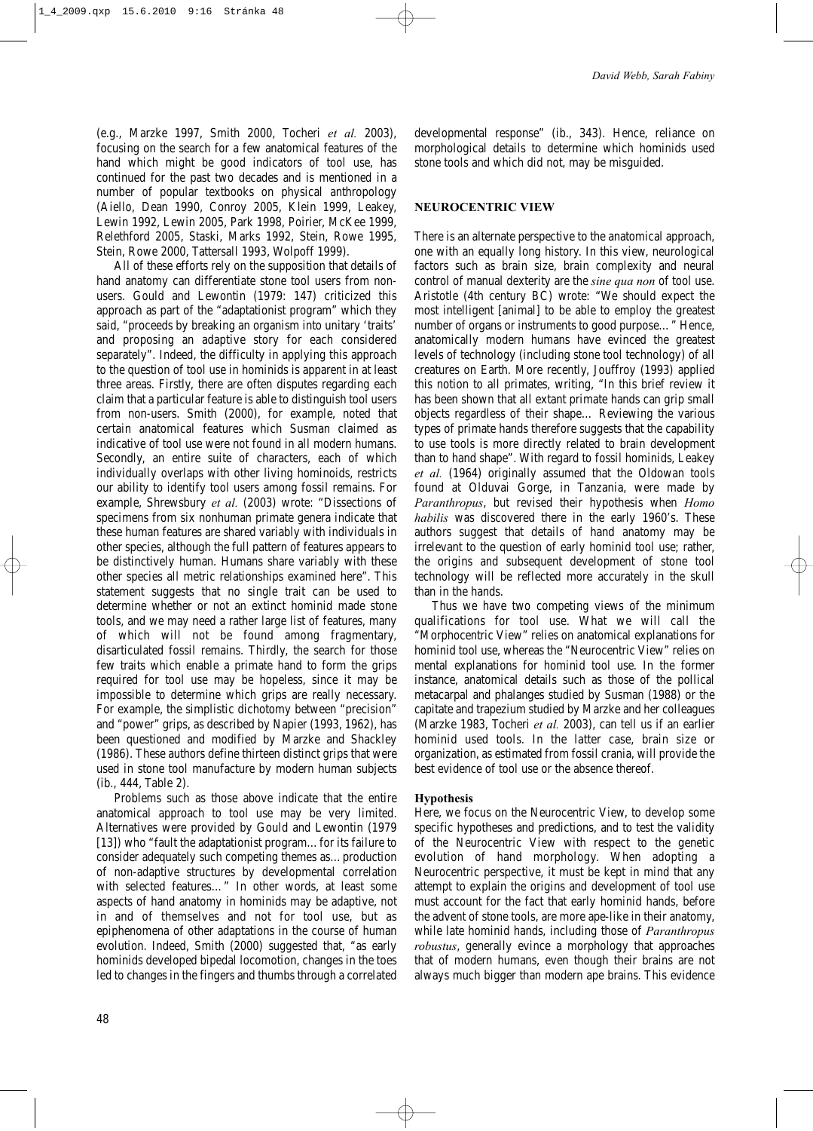(e.g., Marzke 1997, Smith 2000, Tocheri *et al.* 2003), focusing on the search for a few anatomical features of the hand which might be good indicators of tool use, has continued for the past two decades and is mentioned in a number of popular textbooks on physical anthropology (Aiello, Dean 1990, Conroy 2005, Klein 1999, Leakey, Lewin 1992, Lewin 2005, Park 1998, Poirier, McKee 1999, Relethford 2005, Staski, Marks 1992, Stein, Rowe 1995, Stein, Rowe 2000, Tattersall 1993, Wolpoff 1999).

All of these efforts rely on the supposition that details of hand anatomy can differentiate stone tool users from nonusers. Gould and Lewontin (1979: 147) criticized this approach as part of the "adaptationist program" which they said, "proceeds by breaking an organism into unitary 'traits' and proposing an adaptive story for each considered separately". Indeed, the difficulty in applying this approach to the question of tool use in hominids is apparent in at least three areas. Firstly, there are often disputes regarding each claim that a particular feature is able to distinguish tool users from non-users. Smith (2000), for example, noted that certain anatomical features which Susman claimed as indicative of tool use were not found in all modern humans. Secondly, an entire suite of characters, each of which individually overlaps with other living hominoids, restricts our ability to identify tool users among fossil remains. For example, Shrewsbury *et al.* (2003) wrote: "Dissections of specimens from six nonhuman primate genera indicate that these human features are shared variably with individuals in other species, although the full pattern of features appears to be distinctively human. Humans share variably with these other species all metric relationships examined here". This statement suggests that no single trait can be used to determine whether or not an extinct hominid made stone tools, and we may need a rather large list of features, many of which will not be found among fragmentary, disarticulated fossil remains. Thirdly, the search for those few traits which enable a primate hand to form the grips required for tool use may be hopeless, since it may be impossible to determine which grips are really necessary. For example, the simplistic dichotomy between "precision" and "power" grips, as described by Napier (1993, 1962), has been questioned and modified by Marzke and Shackley (1986). These authors define thirteen distinct grips that were used in stone tool manufacture by modern human subjects (ib., 444, Table 2).

Problems such as those above indicate that the entire anatomical approach to tool use may be very limited. Alternatives were provided by Gould and Lewontin (1979 [13]) who "fault the adaptationist program…for its failure to consider adequately such competing themes as…production of non-adaptive structures by developmental correlation with selected features…" In other words, at least some aspects of hand anatomy in hominids may be adaptive, not in and of themselves and not for tool use, but as epiphenomena of other adaptations in the course of human evolution. Indeed, Smith (2000) suggested that, "as early hominids developed bipedal locomotion, changes in the toes led to changes in the fingers and thumbs through a correlated developmental response" (ib., 343). Hence, reliance on morphological details to determine which hominids used stone tools and which did not, may be misguided.

## **NEUROCENTRIC VIEW**

There is an alternate perspective to the anatomical approach, one with an equally long history. In this view, neurological factors such as brain size, brain complexity and neural control of manual dexterity are the *sine qua non* of tool use. Aristotle (4th century BC) wrote: "We should expect the most intelligent [animal] to be able to employ the greatest number of organs or instruments to good purpose…" Hence, anatomically modern humans have evinced the greatest levels of technology (including stone tool technology) of all creatures on Earth. More recently, Jouffroy (1993) applied this notion to all primates, writing, "In this brief review it has been shown that all extant primate hands can grip small objects regardless of their shape… Reviewing the various types of primate hands therefore suggests that the capability to use tools is more directly related to brain development than to hand shape". With regard to fossil hominids, Leakey *et al.* (1964) originally assumed that the Oldowan tools found at Olduvai Gorge, in Tanzania, were made by *Paranthropus*, but revised their hypothesis when *Homo habilis* was discovered there in the early 1960's. These authors suggest that details of hand anatomy may be irrelevant to the question of early hominid tool use; rather, the origins and subsequent development of stone tool technology will be reflected more accurately in the skull than in the hands.

Thus we have two competing views of the minimum qualifications for tool use. What we will call the "Morphocentric View" relies on anatomical explanations for hominid tool use, whereas the "Neurocentric View" relies on mental explanations for hominid tool use. In the former instance, anatomical details such as those of the pollical metacarpal and phalanges studied by Susman (1988) or the capitate and trapezium studied by Marzke and her colleagues (Marzke 1983, Tocheri *et al.* 2003), can tell us if an earlier hominid used tools. In the latter case, brain size or organization, as estimated from fossil crania, will provide the best evidence of tool use or the absence thereof.

## **Hypothesis**

Here, we focus on the Neurocentric View, to develop some specific hypotheses and predictions, and to test the validity of the Neurocentric View with respect to the genetic evolution of hand morphology. When adopting a Neurocentric perspective, it must be kept in mind that any attempt to explain the origins and development of tool use must account for the fact that early hominid hands, before the advent of stone tools, are more ape-like in their anatomy, while late hominid hands, including those of *Paranthropus robustus*, generally evince a morphology that approaches that of modern humans, even though their brains are not always much bigger than modern ape brains. This evidence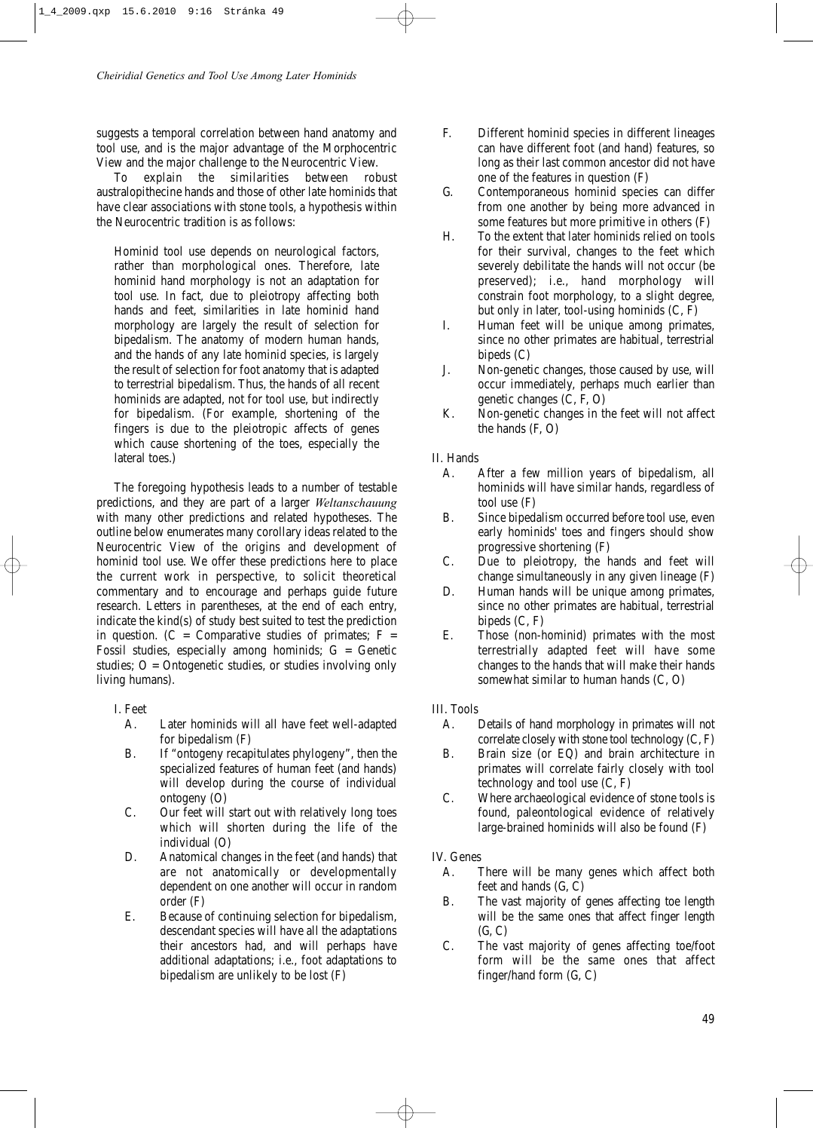suggests a temporal correlation between hand anatomy and tool use, and is the major advantage of the Morphocentric View and the major challenge to the Neurocentric View.

To explain the similarities between robust australopithecine hands and those of other late hominids that have clear associations with stone tools, a hypothesis within the Neurocentric tradition is as follows:

Hominid tool use depends on neurological factors, rather than morphological ones. Therefore, late hominid hand morphology is not an adaptation for tool use. In fact, due to pleiotropy affecting both hands and feet, similarities in late hominid hand morphology are largely the result of selection for bipedalism. The anatomy of modern human hands, and the hands of any late hominid species, is largely the result of selection for foot anatomy that is adapted to terrestrial bipedalism. Thus, the hands of all recent hominids are adapted, not for tool use, but indirectly for bipedalism. (For example, shortening of the fingers is due to the pleiotropic affects of genes which cause shortening of the toes, especially the lateral toes.)

The foregoing hypothesis leads to a number of testable predictions, and they are part of a larger *Weltanschauung* with many other predictions and related hypotheses. The outline below enumerates many corollary ideas related to the Neurocentric View of the origins and development of hominid tool use. We offer these predictions here to place the current work in perspective, to solicit theoretical commentary and to encourage and perhaps guide future research. Letters in parentheses, at the end of each entry, indicate the kind(s) of study best suited to test the prediction in question. ( $C =$  Comparative studies of primates;  $F =$ Fossil studies, especially among hominids;  $G =$  Genetic studies;  $O =$  Ontogenetic studies, or studies involving only living humans).

# I. Feet

- A. Later hominids will all have feet well-adapted for bipedalism (F)
- B. If "ontogeny recapitulates phylogeny", then the specialized features of human feet (and hands) will develop during the course of individual ontogeny (O)
- C. Our feet will start out with relatively long toes which will shorten during the life of the individual (O)
- D. Anatomical changes in the feet (and hands) that are not anatomically or developmentally dependent on one another will occur in random order (F)
- E. Because of continuing selection for bipedalism, descendant species will have all the adaptations their ancestors had, and will perhaps have additional adaptations; i.e., foot adaptations to bipedalism are unlikely to be lost (F)
- F. Different hominid species in different lineages can have different foot (and hand) features, so long as their last common ancestor did not have one of the features in question (F)
- G. Contemporaneous hominid species can differ from one another by being more advanced in some features but more primitive in others (F)
- H. To the extent that later hominids relied on tools for their survival, changes to the feet which severely debilitate the hands will not occur (be preserved); i.e., hand morphology will constrain foot morphology, to a slight degree, but only in later, tool-using hominids (C, F)
- I. Human feet will be unique among primates, since no other primates are habitual, terrestrial bipeds (C)
- J. Non-genetic changes, those caused by use, will occur immediately, perhaps much earlier than genetic changes (C, F, O)
- K. Non-genetic changes in the feet will not affect the hands (F, O)

# II. Hands

- A. After a few million years of bipedalism, all hominids will have similar hands, regardless of tool use (F)
- B. Since bipedalism occurred before tool use, even early hominids' toes and fingers should show progressive shortening (F)
- C. Due to pleiotropy, the hands and feet will change simultaneously in any given lineage (F)
- D. Human hands will be unique among primates, since no other primates are habitual, terrestrial bipeds (C, F)
- E. Those (non-hominid) primates with the most terrestrially adapted feet will have some changes to the hands that will make their hands somewhat similar to human hands (C, O)

# III. Tools

- A. Details of hand morphology in primates will not correlate closely with stone tool technology (C, F)
- B. Brain size (or EQ) and brain architecture in primates will correlate fairly closely with tool technology and tool use (C, F)
- C. Where archaeological evidence of stone tools is found, paleontological evidence of relatively large-brained hominids will also be found (F)

# IV. Genes

- A. There will be many genes which affect both feet and hands (G, C)
- B. The vast majority of genes affecting toe length will be the same ones that affect finger length  $(G, C)$
- C. The vast majority of genes affecting toe/foot form will be the same ones that affect finger/hand form (G, C)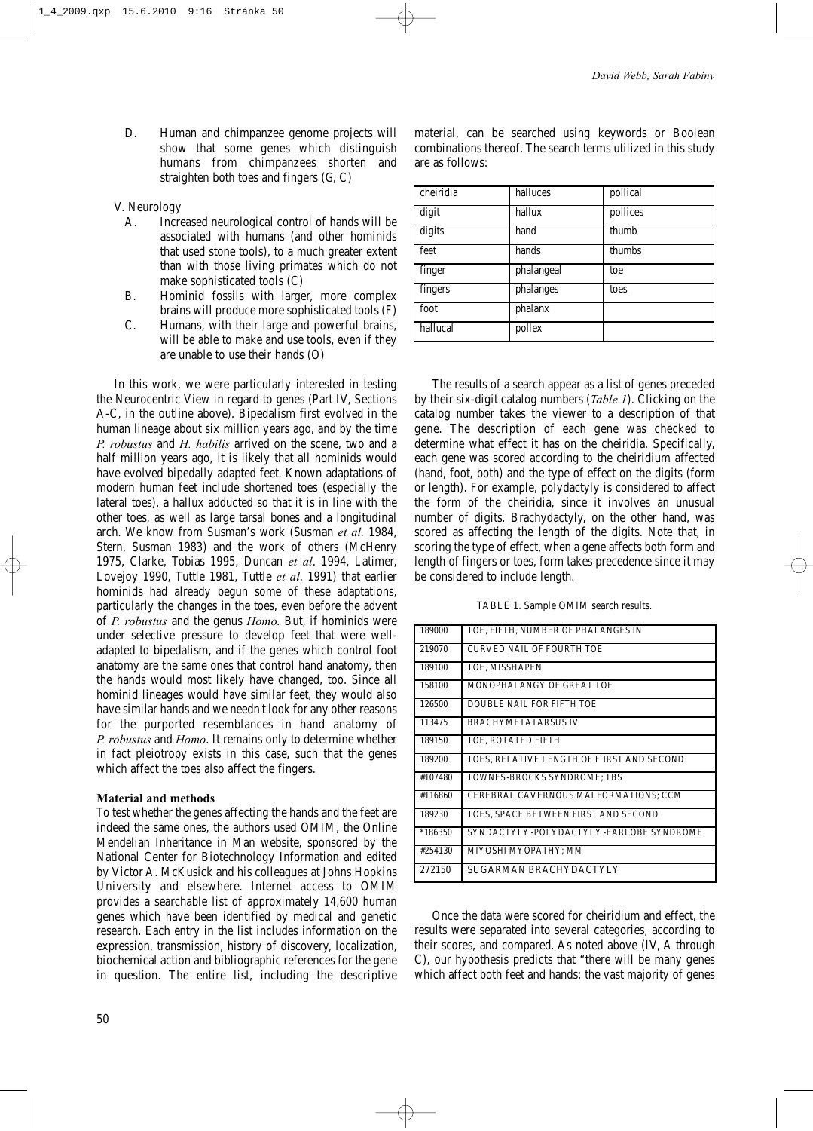D. Human and chimpanzee genome projects will show that some genes which distinguish humans from chimpanzees shorten and straighten both toes and fingers (G, C)

## V. Neurology

- A. Increased neurological control of hands will be associated with humans (and other hominids that used stone tools), to a much greater extent than with those living primates which do not make sophisticated tools (C)
- B. Hominid fossils with larger, more complex brains will produce more sophisticated tools (F)
- C. Humans, with their large and powerful brains, will be able to make and use tools, even if they are unable to use their hands (O)

In this work, we were particularly interested in testing the Neurocentric View in regard to genes (Part IV, Sections A-C, in the outline above). Bipedalism first evolved in the human lineage about six million years ago, and by the time *P. robustus* and *H. habilis* arrived on the scene, two and a half million years ago, it is likely that all hominids would have evolved bipedally adapted feet. Known adaptations of modern human feet include shortened toes (especially the lateral toes), a hallux adducted so that it is in line with the other toes, as well as large tarsal bones and a longitudinal arch. We know from Susman's work (Susman *et al.* 1984, Stern, Susman 1983) and the work of others (McHenry 1975, Clarke, Tobias 1995, Duncan *et al*. 1994, Latimer, Lovejoy 1990, Tuttle 1981, Tuttle *et al*. 1991) that earlier hominids had already begun some of these adaptations, particularly the changes in the toes, even before the advent of *P. robustus* and the genus *Homo.* But, if hominids were under selective pressure to develop feet that were welladapted to bipedalism, and if the genes which control foot anatomy are the same ones that control hand anatomy, then the hands would most likely have changed, too. Since all hominid lineages would have similar feet, they would also have similar hands and we needn't look for any other reasons for the purported resemblances in hand anatomy of *P. robustus* and *Homo*. It remains only to determine whether in fact pleiotropy exists in this case, such that the genes which affect the toes also affect the fingers.

## **Material and methods**

To test whether the genes affecting the hands and the feet are indeed the same ones, the authors used OMIM, the Online Mendelian Inheritance in Man website, sponsored by the National Center for Biotechnology Information and edited by Victor A. McKusick and his colleagues at Johns Hopkins University and elsewhere. Internet access to OMIM provides a searchable list of approximately 14,600 human genes which have been identified by medical and genetic research. Each entry in the list includes information on the expression, transmission, history of discovery, localization, biochemical action and bibliographic references for the gene in question. The entire list, including the descriptive material, can be searched using keywords or Boolean combinations thereof. The search terms utilized in this study are as follows:

| cheiridia | halluces   | pollical |
|-----------|------------|----------|
| digit     | hallux     | pollices |
| digits    | hand       | thumb    |
| feet      | hands      | thumbs   |
| finger    | phalangeal | toe      |
| fingers   | phalanges  | toes     |
| foot      | phalanx    |          |
| hallucal  | pollex     |          |

The results of a search appear as a list of genes preceded by their six-digit catalog numbers (*Table 1*). Clicking on the catalog number takes the viewer to a description of that gene. The description of each gene was checked to determine what effect it has on the cheiridia. Specifically, each gene was scored according to the cheiridium affected (hand, foot, both) and the type of effect on the digits (form or length). For example, polydactyly is considered to affect the form of the cheiridia, since it involves an unusual number of digits. Brachydactyly, on the other hand, was scored as affecting the length of the digits. Note that, in scoring the type of effect, when a gene affects both form and length of fingers or toes, form takes precedence since it may be considered to include length.

TABLE 1. Sample OMIM search results.

| 189000    | TOE, FIFTH, NUMBER OF PHALANGES IN         |
|-----------|--------------------------------------------|
| 219070    | <b>CURVED NAIL OF FOURTH TOE</b>           |
| 189100    | TOE, MISSHAPEN                             |
| 158100    | MONOPHALANGY OF GREAT TOE                  |
| 126500    | DOUBLE NAIL FOR FIFTH TOE                  |
| 113475    | <b>BRACHYMETATARSUS IV</b>                 |
| 189150    | TOE, ROTATED FIFTH                         |
| 189200    | TOES, RELATIVE LENGTH OF F IRST AND SECOND |
| #107480   | TOWNES-BROCKS SYNDROME; TBS                |
| #116860   | CEREBRAL CAVERNOUS MALFORMATIONS; CCM      |
| 189230    | TOES, SPACE BETWEEN FIRST AND SECOND       |
| $*186350$ | SYNDACTYLY-POLYDACTYLY-EARLOBE SYNDROME    |
| #254130   | MIYOSHI MYOPATHY; MM                       |
| 272150    | SUGARMAN BRACHYDACTYLY                     |

Once the data were scored for cheiridium and effect, the results were separated into several categories, according to their scores, and compared. As noted above (IV, A through C), our hypothesis predicts that "there will be many genes which affect both feet and hands; the vast majority of genes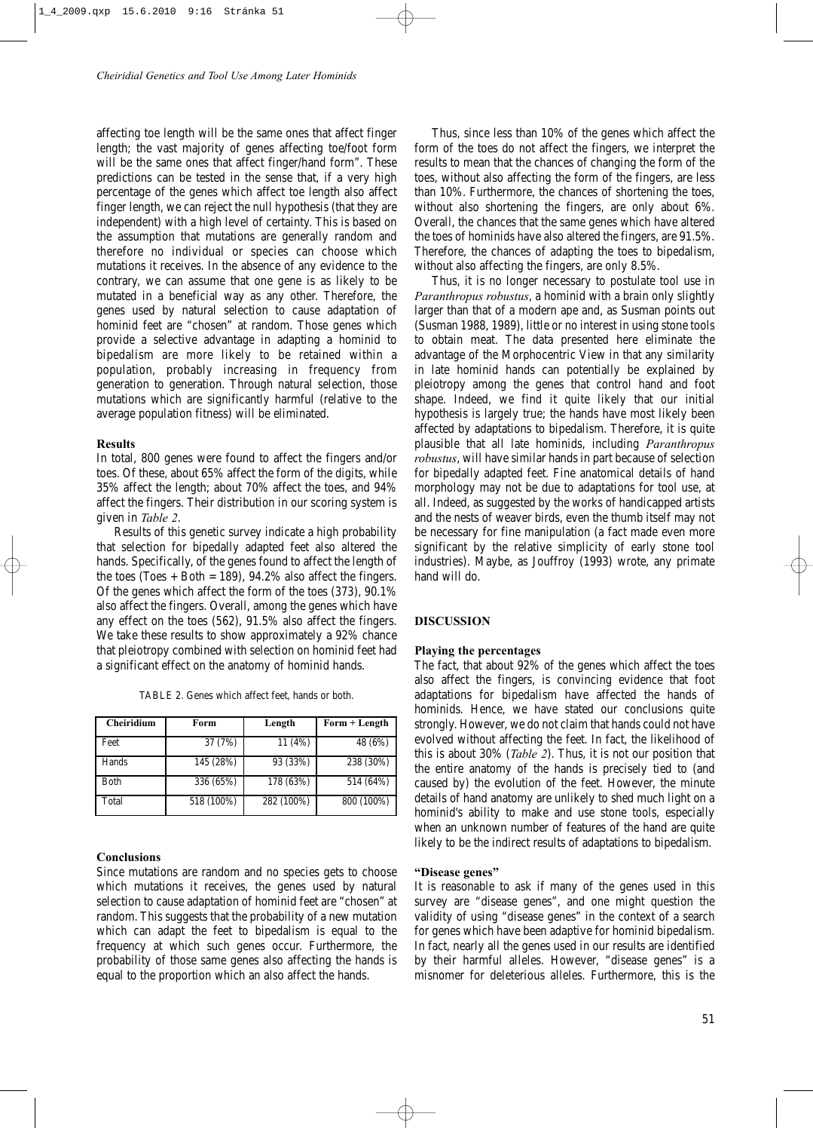affecting toe length will be the same ones that affect finger length; the vast majority of genes affecting toe/foot form will be the same ones that affect finger/hand form". These predictions can be tested in the sense that, if a very high percentage of the genes which affect toe length also affect finger length, we can reject the null hypothesis (that they are independent) with a high level of certainty. This is based on the assumption that mutations are generally random and therefore no individual or species can choose which mutations it receives. In the absence of any evidence to the contrary, we can assume that one gene is as likely to be mutated in a beneficial way as any other. Therefore, the genes used by natural selection to cause adaptation of hominid feet are "chosen" at random. Those genes which provide a selective advantage in adapting a hominid to bipedalism are more likely to be retained within a population, probably increasing in frequency from generation to generation. Through natural selection, those mutations which are significantly harmful (relative to the average population fitness) will be eliminated.

#### **Results**

In total, 800 genes were found to affect the fingers and/or toes. Of these, about 65% affect the form of the digits, while 35% affect the length; about 70% affect the toes, and 94% affect the fingers. Their distribution in our scoring system is given in *Table 2*.

Results of this genetic survey indicate a high probability that selection for bipedally adapted feet also altered the hands. Specifically, of the genes found to affect the length of the toes (Toes  $+$  Both = 189), 94.2% also affect the fingers. Of the genes which affect the form of the toes (373), 90.1% also affect the fingers. Overall, among the genes which have any effect on the toes (562), 91.5% also affect the fingers. We take these results to show approximately a 92% chance that pleiotropy combined with selection on hominid feet had a significant effect on the anatomy of hominid hands.

| TABLE 2. Genes which affect feet, hands or both. |  |  |  |  |  |  |
|--------------------------------------------------|--|--|--|--|--|--|
|--------------------------------------------------|--|--|--|--|--|--|

| <b>Cheiridium</b> | Form       | Length     | Form + Length |
|-------------------|------------|------------|---------------|
| Feet              | 37 (7%)    | 11 (4%)    | 48 (6%)       |
| Hands             | 145 (28%)  | 93 (33%)   | 238 (30%)     |
| <b>B</b> oth      | 336 (65%)  | 178 (63%)  | 514 (64%)     |
| Total             | 518 (100%) | 282 (100%) | 800 (100%)    |

#### **Conclusions**

Since mutations are random and no species gets to choose which mutations it receives, the genes used by natural selection to cause adaptation of hominid feet are "chosen" at random. This suggests that the probability of a new mutation which can adapt the feet to bipedalism is equal to the frequency at which such genes occur. Furthermore, the probability of those same genes also affecting the hands is equal to the proportion which an also affect the hands.

Thus, since less than 10% of the genes which affect the form of the toes do not affect the fingers, we interpret the results to mean that the chances of changing the form of the toes, without also affecting the form of the fingers, are less than 10%. Furthermore, the chances of shortening the toes, without also shortening the fingers, are only about 6%. Overall, the chances that the same genes which have altered the toes of hominids have also altered the fingers, are 91.5%. Therefore, the chances of adapting the toes to bipedalism, without also affecting the fingers, are only 8.5%.

Thus, it is no longer necessary to postulate tool use in *Paranthropus robustus*, a hominid with a brain only slightly larger than that of a modern ape and, as Susman points out (Susman 1988, 1989), little or no interest in using stone tools to obtain meat. The data presented here eliminate the advantage of the Morphocentric View in that any similarity in late hominid hands can potentially be explained by pleiotropy among the genes that control hand and foot shape. Indeed, we find it quite likely that our initial hypothesis is largely true; the hands have most likely been affected by adaptations to bipedalism. Therefore, it is quite plausible that all late hominids, including *Paranthropus robustus*, will have similar hands in part because of selection for bipedally adapted feet. Fine anatomical details of hand morphology may not be due to adaptations for tool use, at all. Indeed, as suggested by the works of handicapped artists and the nests of weaver birds, even the thumb itself may not be necessary for fine manipulation (a fact made even more significant by the relative simplicity of early stone tool industries). Maybe, as Jouffroy (1993) wrote, any primate hand will do.

#### **DISCUSSION**

#### **Playing the percentages**

The fact, that about 92% of the genes which affect the toes also affect the fingers, is convincing evidence that foot adaptations for bipedalism have affected the hands of hominids. Hence, we have stated our conclusions quite strongly. However, we do not claim that hands could not have evolved without affecting the feet. In fact, the likelihood of this is about 30% (*Table 2*). Thus, it is not our position that the entire anatomy of the hands is precisely tied to (and caused by) the evolution of the feet. However, the minute details of hand anatomy are unlikely to shed much light on a hominid's ability to make and use stone tools, especially when an unknown number of features of the hand are quite likely to be the indirect results of adaptations to bipedalism.

## **"Disease genes"**

It is reasonable to ask if many of the genes used in this survey are "disease genes", and one might question the validity of using "disease genes" in the context of a search for genes which have been adaptive for hominid bipedalism. In fact, nearly all the genes used in our results are identified by their harmful alleles. However, "disease genes" is a misnomer for deleterious alleles. Furthermore, this is the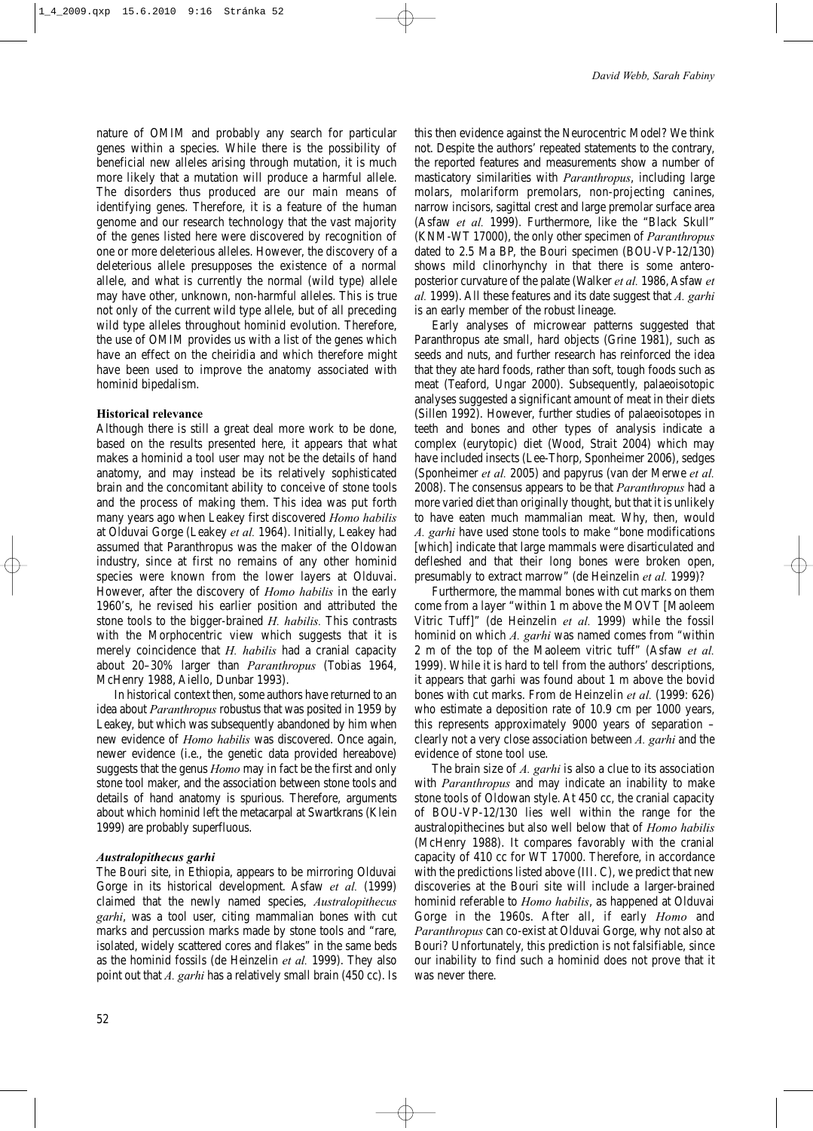nature of OMIM and probably any search for particular genes within a species. While there is the possibility of beneficial new alleles arising through mutation, it is much more likely that a mutation will produce a harmful allele. The disorders thus produced are our main means of identifying genes. Therefore, it is a feature of the human genome and our research technology that the vast majority of the genes listed here were discovered by recognition of one or more deleterious alleles. However, the discovery of a deleterious allele presupposes the existence of a normal allele, and what is currently the normal (wild type) allele may have other, unknown, non-harmful alleles. This is true not only of the current wild type allele, but of all preceding wild type alleles throughout hominid evolution. Therefore, the use of OMIM provides us with a list of the genes which have an effect on the cheiridia and which therefore might have been used to improve the anatomy associated with hominid bipedalism.

## **Historical relevance**

Although there is still a great deal more work to be done, based on the results presented here, it appears that what makes a hominid a tool user may not be the details of hand anatomy, and may instead be its relatively sophisticated brain and the concomitant ability to conceive of stone tools and the process of making them. This idea was put forth many years ago when Leakey first discovered *Homo habilis* at Olduvai Gorge (Leakey *et al.* 1964). Initially, Leakey had assumed that Paranthropus was the maker of the Oldowan industry, since at first no remains of any other hominid species were known from the lower layers at Olduvai. However, after the discovery of *Homo habilis* in the early 1960's, he revised his earlier position and attributed the stone tools to the bigger-brained *H. habilis.* This contrasts with the Morphocentric view which suggests that it is merely coincidence that *H. habilis* had a cranial capacity about 20–30% larger than *Paranthropus* (Tobias 1964, McHenry 1988, Aiello, Dunbar 1993).

In historical context then, some authors have returned to an idea about *Paranthropus* robustus that was posited in 1959 by Leakey, but which was subsequently abandoned by him when new evidence of *Homo habilis* was discovered. Once again, newer evidence (i.e., the genetic data provided hereabove) suggests that the genus *Homo* may in fact be the first and only stone tool maker, and the association between stone tools and details of hand anatomy is spurious. Therefore, arguments about which hominid left the metacarpal at Swartkrans (Klein 1999) are probably superfluous.

### *Australopithecus garhi*

The Bouri site, in Ethiopia, appears to be mirroring Olduvai Gorge in its historical development. Asfaw *et al.* (1999) claimed that the newly named species, *Australopithecus garhi*, was a tool user, citing mammalian bones with cut marks and percussion marks made by stone tools and "rare, isolated, widely scattered cores and flakes" in the same beds as the hominid fossils (de Heinzelin *et al.* 1999). They also point out that *A. garhi* has a relatively small brain (450 cc). Is this then evidence against the Neurocentric Model? We think not. Despite the authors' repeated statements to the contrary, the reported features and measurements show a number of masticatory similarities with *Paranthropus*, including large molars, molariform premolars, non-projecting canines, narrow incisors, sagittal crest and large premolar surface area (Asfaw *et al.* 1999). Furthermore, like the "Black Skull" (KNM-WT 17000), the only other specimen of *Paranthropus* dated to 2.5 Ma BP, the Bouri specimen (BOU-VP-12/130) shows mild clinorhynchy in that there is some anteroposterior curvature of the palate (Walker *et al.* 1986, Asfaw *et al.* 1999). All these features and its date suggest that *A. garhi* is an early member of the robust lineage.

Early analyses of microwear patterns suggested that Paranthropus ate small, hard objects (Grine 1981), such as seeds and nuts, and further research has reinforced the idea that they ate hard foods, rather than soft, tough foods such as meat (Teaford, Ungar 2000). Subsequently, palaeoisotopic analyses suggested a significant amount of meat in their diets (Sillen 1992). However, further studies of palaeoisotopes in teeth and bones and other types of analysis indicate a complex (eurytopic) diet (Wood, Strait 2004) which may have included insects (Lee-Thorp, Sponheimer 2006), sedges (Sponheimer *et al.* 2005) and papyrus (van der Merwe *et al.* 2008). The consensus appears to be that *Paranthropus* had a more varied diet than originally thought, but that it is unlikely to have eaten much mammalian meat. Why, then, would *A. garhi* have used stone tools to make "bone modifications [which] indicate that large mammals were disarticulated and defleshed and that their long bones were broken open, presumably to extract marrow" (de Heinzelin *et al.* 1999)?

Furthermore, the mammal bones with cut marks on them come from a layer "within 1 m above the MOVT [Maoleem Vitric Tuff]" (de Heinzelin *et al.* 1999) while the fossil hominid on which *A. garhi* was named comes from "within 2 m of the top of the Maoleem vitric tuff" (Asfaw *et al.* 1999). While it is hard to tell from the authors' descriptions, it appears that garhi was found about 1 m above the bovid bones with cut marks. From de Heinzelin *et al.* (1999: 626) who estimate a deposition rate of 10.9 cm per 1000 years, this represents approximately 9000 years of separation – clearly not a very close association between *A. garhi* and the evidence of stone tool use.

The brain size of *A. garhi* is also a clue to its association with *Paranthropus* and may indicate an inability to make stone tools of Oldowan style. At 450 cc, the cranial capacity of BOU-VP-12/130 lies well within the range for the australopithecines but also well below that of *Homo habilis* (McHenry 1988). It compares favorably with the cranial capacity of 410 cc for WT 17000. Therefore, in accordance with the predictions listed above (III. C), we predict that new discoveries at the Bouri site will include a larger-brained hominid referable to *Homo habilis*, as happened at Olduvai Gorge in the 1960s. After all, if early *Homo* and *Paranthropus* can co-exist at Olduvai Gorge, why not also at Bouri? Unfortunately, this prediction is not falsifiable, since our inability to find such a hominid does not prove that it was never there.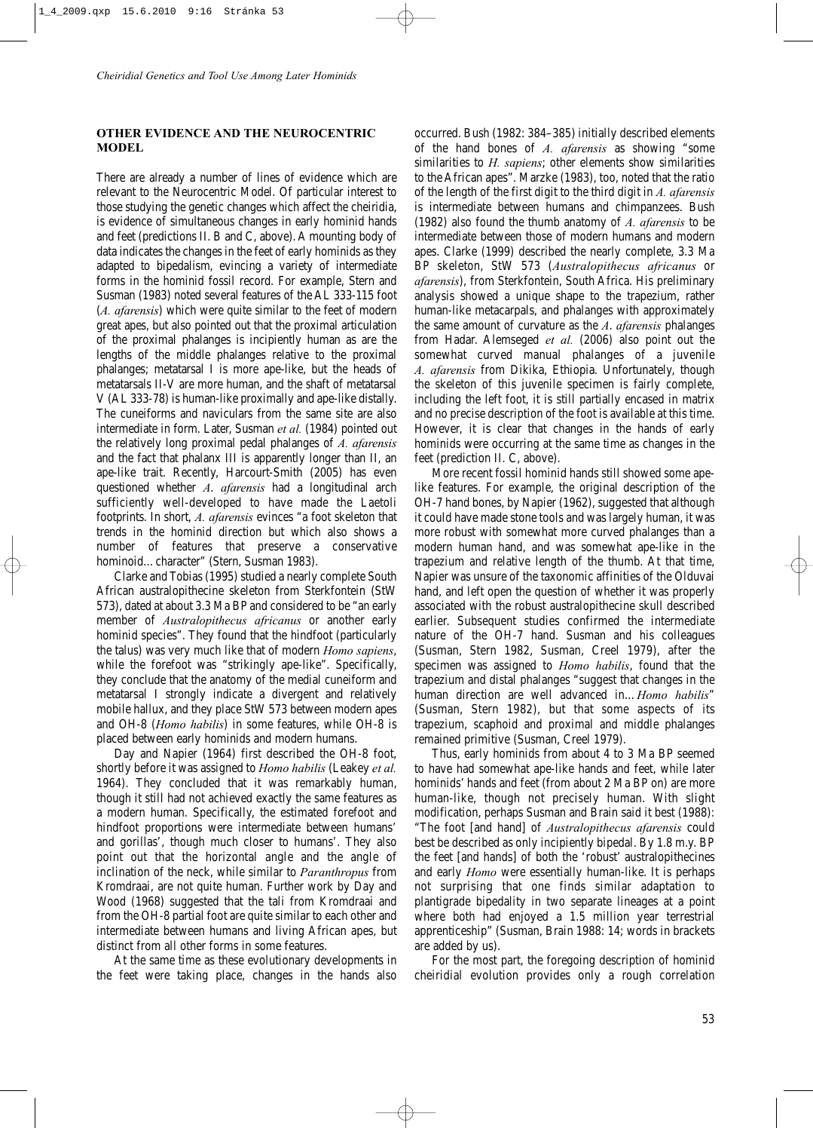# **OTHER EVIDENCE AND THE NEUROCENTRIC MODEL**

There are already a number of lines of evidence which are relevant to the Neurocentric Model. Of particular interest to those studying the genetic changes which affect the cheiridia, is evidence of simultaneous changes in early hominid hands and feet (predictions II. B and C, above). A mounting body of data indicates the changes in the feet of early hominids as they adapted to bipedalism, evincing a variety of intermediate forms in the hominid fossil record. For example, Stern and Susman (1983) noted several features of the AL 333-115 foot (*A. afarensis*) which were quite similar to the feet of modern great apes, but also pointed out that the proximal articulation of the proximal phalanges is incipiently human as are the lengths of the middle phalanges relative to the proximal phalanges; metatarsal I is more ape-like, but the heads of metatarsals II-V are more human, and the shaft of metatarsal V (AL 333-78) is human-like proximally and ape-like distally. The cuneiforms and naviculars from the same site are also intermediate in form. Later, Susman *et al.* (1984) pointed out the relatively long proximal pedal phalanges of *A. afarensis* and the fact that phalanx III is apparently longer than II, an ape-like trait. Recently, Harcourt-Smith (2005) has even questioned whether *A*. *afarensis* had a longitudinal arch sufficiently well-developed to have made the Laetoli footprints. In short, *A. afarensis* evinces "a foot skeleton that trends in the hominid direction but which also shows a number of features that preserve a conservative hominoid…character" (Stern, Susman 1983).

Clarke and Tobias (1995) studied a nearly complete South African australopithecine skeleton from Sterkfontein (StW 573), dated at about 3.3 Ma BP and considered to be "an early member of *Australopithecus africanus* or another early hominid species". They found that the hindfoot (particularly the talus) was very much like that of modern *Homo sapiens*, while the forefoot was "strikingly ape-like". Specifically, they conclude that the anatomy of the medial cuneiform and metatarsal I strongly indicate a divergent and relatively mobile hallux, and they place StW 573 between modern apes and OH-8 (*Homo habilis*) in some features, while OH-8 is placed between early hominids and modern humans.

Day and Napier (1964) first described the OH-8 foot, shortly before it was assigned to *Homo habilis* (Leakey *et al.* 1964). They concluded that it was remarkably human, though it still had not achieved exactly the same features as a modern human. Specifically, the estimated forefoot and hindfoot proportions were intermediate between humans' and gorillas', though much closer to humans'. They also point out that the horizontal angle and the angle of inclination of the neck, while similar to *Paranthropus* from Kromdraai, are not quite human. Further work by Day and Wood (1968) suggested that the tali from Kromdraai and from the OH-8 partial foot are quite similar to each other and intermediate between humans and living African apes, but distinct from all other forms in some features.

At the same time as these evolutionary developments in the feet were taking place, changes in the hands also occurred. Bush (1982: 384–385) initially described elements of the hand bones of *A. afarensis* as showing "some similarities to *H. sapiens*; other elements show similarities to the African apes". Marzke (1983), too, noted that the ratio of the length of the first digit to the third digit in *A. afarensis* is intermediate between humans and chimpanzees. Bush (1982) also found the thumb anatomy of *A. afarensis* to be intermediate between those of modern humans and modern apes. Clarke (1999) described the nearly complete, 3.3 Ma BP skeleton, StW 573 (*Australopithecus africanus* or *afarensis*), from Sterkfontein, South Africa. His preliminary analysis showed a unique shape to the trapezium, rather human-like metacarpals, and phalanges with approximately the same amount of curvature as the *A*. *afarensis* phalanges from Hadar. Alemseged *et al.* (2006) also point out the somewhat curved manual phalanges of a juvenile *A. afarensis* from Dikika, Ethiopia. Unfortunately, though the skeleton of this juvenile specimen is fairly complete, including the left foot, it is still partially encased in matrix and no precise description of the foot is available at this time. However, it is clear that changes in the hands of early hominids were occurring at the same time as changes in the feet (prediction II. C, above).

More recent fossil hominid hands still showed some apelike features. For example, the original description of the OH-7 hand bones, by Napier (1962), suggested that although it could have made stone tools and was largely human, it was more robust with somewhat more curved phalanges than a modern human hand, and was somewhat ape-like in the trapezium and relative length of the thumb. At that time, Napier was unsure of the taxonomic affinities of the Olduvai hand, and left open the question of whether it was properly associated with the robust australopithecine skull described earlier. Subsequent studies confirmed the intermediate nature of the OH-7 hand. Susman and his colleagues (Susman, Stern 1982, Susman, Creel 1979), after the specimen was assigned to *Homo habilis*, found that the trapezium and distal phalanges "suggest that changes in the human direction are well advanced in…*Homo habilis*" (Susman, Stern 1982), but that some aspects of its trapezium, scaphoid and proximal and middle phalanges remained primitive (Susman, Creel 1979).

Thus, early hominids from about 4 to 3 Ma BP seemed to have had somewhat ape-like hands and feet, while later hominids' hands and feet (from about 2 Ma BP on) are more human-like, though not precisely human. With slight modification, perhaps Susman and Brain said it best (1988): "The foot [and hand] of *Australopithecus afarensis* could best be described as only incipiently bipedal. By 1.8 m.y. BP the feet [and hands] of both the 'robust' australopithecines and early *Homo* were essentially human-like. It is perhaps not surprising that one finds similar adaptation to plantigrade bipedality in two separate lineages at a point where both had enjoyed a 1.5 million year terrestrial apprenticeship" (Susman, Brain 1988: 14; words in brackets are added by us).

For the most part, the foregoing description of hominid cheiridial evolution provides only a rough correlation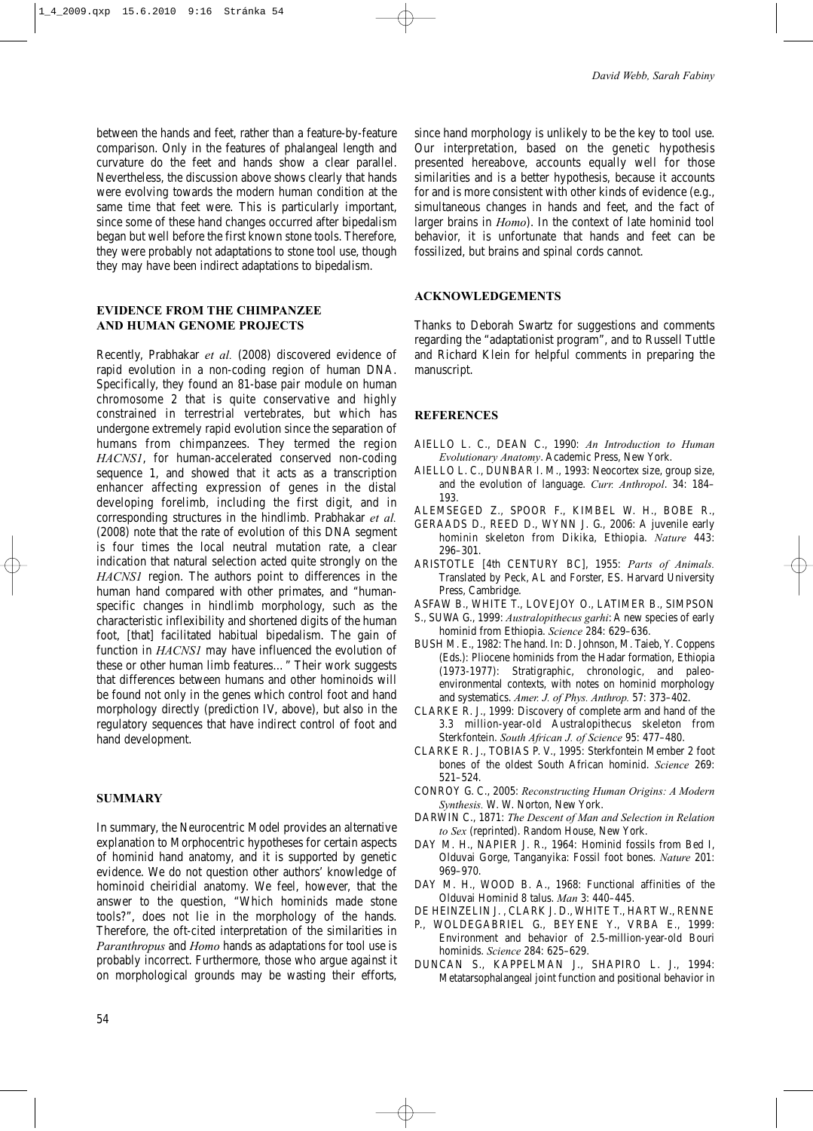between the hands and feet, rather than a feature-by-feature comparison. Only in the features of phalangeal length and curvature do the feet and hands show a clear parallel. Nevertheless, the discussion above shows clearly that hands were evolving towards the modern human condition at the same time that feet were. This is particularly important, since some of these hand changes occurred after bipedalism began but well before the first known stone tools. Therefore, they were probably not adaptations to stone tool use, though they may have been indirect adaptations to bipedalism.

# **EVIDENCE FROM THE CHIMPANZEE AND HUMAN GENOME PROJECTS**

Recently, Prabhakar *et al.* (2008) discovered evidence of rapid evolution in a non-coding region of human DNA. Specifically, they found an 81-base pair module on human chromosome 2 that is quite conservative and highly constrained in terrestrial vertebrates, but which has undergone extremely rapid evolution since the separation of humans from chimpanzees. They termed the region *HACNS1*, for human-accelerated conserved non-coding sequence 1, and showed that it acts as a transcription enhancer affecting expression of genes in the distal developing forelimb, including the first digit, and in corresponding structures in the hindlimb. Prabhakar *et al.* (2008) note that the rate of evolution of this DNA segment is four times the local neutral mutation rate, a clear indication that natural selection acted quite strongly on the *HACNS1* region. The authors point to differences in the human hand compared with other primates, and "humanspecific changes in hindlimb morphology, such as the characteristic inflexibility and shortened digits of the human foot, [that] facilitated habitual bipedalism. The gain of function in *HACNS1* may have influenced the evolution of these or other human limb features…" Their work suggests that differences between humans and other hominoids will be found not only in the genes which control foot and hand morphology directly (prediction IV, above), but also in the regulatory sequences that have indirect control of foot and hand development.

# **SUMMARY**

In summary, the Neurocentric Model provides an alternative explanation to Morphocentric hypotheses for certain aspects of hominid hand anatomy, and it is supported by genetic evidence. We do not question other authors' knowledge of hominoid cheiridial anatomy. We feel, however, that the answer to the question, "Which hominids made stone tools?", does not lie in the morphology of the hands. Therefore, the oft-cited interpretation of the similarities in *Paranthropus* and *Homo* hands as adaptations for tool use is probably incorrect. Furthermore, those who argue against it on morphological grounds may be wasting their efforts, since hand morphology is unlikely to be the key to tool use. Our interpretation, based on the genetic hypothesis presented hereabove, accounts equally well for those similarities and is a better hypothesis, because it accounts for and is more consistent with other kinds of evidence (e.g., simultaneous changes in hands and feet, and the fact of larger brains in *Homo*). In the context of late hominid tool behavior, it is unfortunate that hands and feet can be fossilized, but brains and spinal cords cannot.

## **ACKNOWLEDGEMENTS**

Thanks to Deborah Swartz for suggestions and comments regarding the "adaptationist program", and to Russell Tuttle and Richard Klein for helpful comments in preparing the manuscript.

## **REFERENCES**

- AIELLO L. C., DEAN C., 1990: *An Introduction to Human Evolutionary Anatomy*. Academic Press, New York.
- AIELLO L. C., DUNBAR I. M., 1993: Neocortex size, group size, and the evolution of language. *Curr. Anthropol*. 34: 184– 193.
- ALEMSEGED Z., SPOOR F., KIMBEL W. H., BOBE R.,
- GERAADS D., REED D., WYNN J. G., 2006: A juvenile early hominin skeleton from Dikika, Ethiopia. *Nature* 443: 296–301.
- ARISTOTLE [4th CENTURY BC], 1955: *Parts of Animals.* Translated by Peck, AL and Forster, ES. Harvard University Press, Cambridge.
- ASFAW B., WHITE T., LOVEJOY O., LATIMER B., SIMPSON
- S., SUWA G., 1999: *Australopithecus garhi*: A new species of early hominid from Ethiopia. *Science* 284: 629–636.
- BUSH M. E., 1982: The hand. In: D. Johnson, M. Taieb, Y. Coppens (Eds.): Pliocene hominids from the Hadar formation, Ethiopia (1973-1977): Stratigraphic, chronologic, and paleoenvironmental contexts, with notes on hominid morphology and systematics. *Amer. J. of Phys. Anthrop.* 57: 373–402.
- CLARKE R. J., 1999: Discovery of complete arm and hand of the 3.3 million-year-old Australopithecus skeleton from Sterkfontein. *South African J. of Science* 95: 477–480.
- CLARKE R. J., TOBIAS P. V., 1995: Sterkfontein Member 2 foot bones of the oldest South African hominid. *Science* 269: 521–524.
- CONROY G. C., 2005: *Reconstructing Human Origins: A Modern Synthesis.* W. W. Norton, New York.
- DARWIN C., 1871: *The Descent of Man and Selection in Relation to Sex* (reprinted). Random House, New York.
- DAY M. H., NAPIER J. R., 1964: Hominid fossils from Bed I, Olduvai Gorge, Tanganyika: Fossil foot bones. *Nature* 201: 969–970.
- DAY M. H., WOOD B. A., 1968: Functional affinities of the Olduvai Hominid 8 talus. *Man* 3: 440–445.
- DE HEINZELIN J. , CLARK J. D., WHITE T., HART W., RENNE
- P., WOLDEGABRIEL G., BEYENE Y., VRBA E., 1999: Environment and behavior of 2.5-million-year-old Bouri hominids. *Science* 284: 625–629.
- DUNCAN S., KAPPELMAN J., SHAPIRO L. J., 1994: Metatarsophalangeal joint function and positional behavior in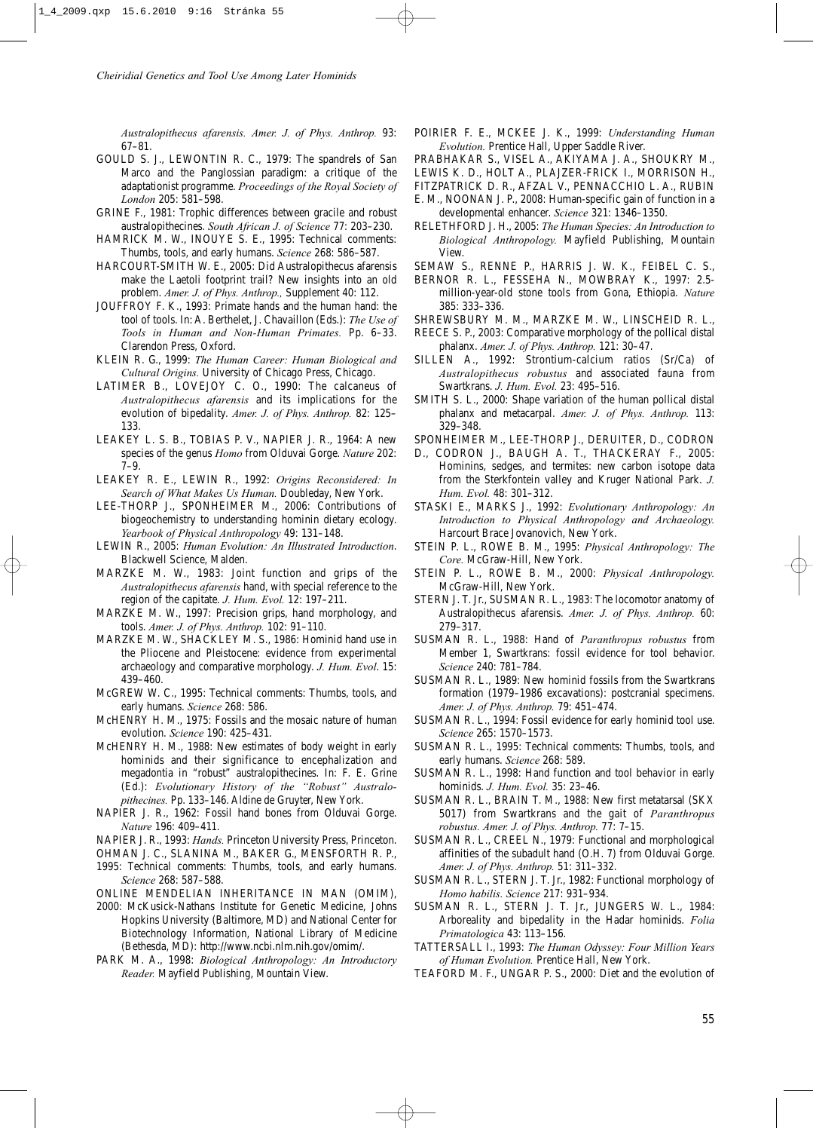*Australopithecus afarensis. Amer. J. of Phys. Anthrop.* 93: 67–81.

- GOULD S. J., LEWONTIN R. C., 1979: The spandrels of San Marco and the Panglossian paradigm: a critique of the adaptationist programme. *Proceedings of the Royal Society of London* 205: 581–598.
- GRINE F., 1981: Trophic differences between gracile and robust australopithecines. *South African J. of Science* 77: 203–230.
- HAMRICK M. W., INOUYE S. E., 1995: Technical comments: Thumbs, tools, and early humans. *Science* 268: 586–587.
- HARCOURT-SMITH W. E., 2005: Did Australopithecus afarensis make the Laetoli footprint trail? New insights into an old problem. *Amer. J. of Phys. Anthrop.,* Supplement 40: 112.
- JOUFFROY F. K., 1993: Primate hands and the human hand: the tool of tools. In: A. Berthelet, J. Chavaillon (Eds.): *The Use of Tools in Human and Non-Human Primates.* Pp. 6–33. Clarendon Press, Oxford.
- KLEIN R. G., 1999: *The Human Career: Human Biological and Cultural Origins.* University of Chicago Press, Chicago.
- LATIMER B., LOVEJOY C. O., 1990: The calcaneus of *Australopithecus afarensis* and its implications for the evolution of bipedality. *Amer. J. of Phys. Anthrop.* 82: 125– 133.
- LEAKEY L. S. B., TOBIAS P. V., NAPIER J. R., 1964: A new species of the genus *Homo* from Olduvai Gorge. *Nature* 202: 7–9.
- LEAKEY R. E., LEWIN R., 1992: *Origins Reconsidered: In Search of What Makes Us Human.* Doubleday, New York.
- LEE-THORP J., SPONHEIMER M., 2006: Contributions of biogeochemistry to understanding hominin dietary ecology. *Yearbook of Physical Anthropology* 49: 131–148.
- LEWIN R., 2005: *Human Evolution: An Illustrated Introduction*. Blackwell Science, Malden.
- MARZKE M. W., 1983: Joint function and grips of the *Australopithecus afarensis* hand, with special reference to the region of the capitate. *J. Hum. Evol.* 12: 197–211.
- MARZKE M. W., 1997: Precision grips, hand morphology, and tools. *Amer. J. of Phys. Anthrop.* 102: 91–110.
- MARZKE M. W., SHACKLEY M. S., 1986: Hominid hand use in the Pliocene and Pleistocene: evidence from experimental archaeology and comparative morphology. *J. Hum. Evol*. 15: 439–460.
- McGREW W. C., 1995: Technical comments: Thumbs, tools, and early humans. *Science* 268: 586.
- McHENRY H. M., 1975: Fossils and the mosaic nature of human evolution. *Science* 190: 425–431.
- McHENRY H. M., 1988: New estimates of body weight in early hominids and their significance to encephalization and megadontia in "robust" australopithecines. In: F. E. Grine (Ed.): *Evolutionary History of the "Robust" Australopithecines.* Pp. 133–146. Aldine de Gruyter, New York.
- NAPIER J. R., 1962: Fossil hand bones from Olduvai Gorge. *Nature* 196: 409–411.
- NAPIER J. R., 1993: *Hands.* Princeton University Press, Princeton.
- OHMAN J. C., SLANINA M., BAKER G., MENSFORTH R. P., 1995: Technical comments: Thumbs, tools, and early humans.
- *Science* 268: 587–588.
- ONLINE MENDELIAN INHERITANCE IN MAN (OMIM),
- 2000: McKusick-Nathans Institute for Genetic Medicine, Johns Hopkins University (Baltimore, MD) and National Center for Biotechnology Information, National Library of Medicine (Bethesda, MD): http://www.ncbi.nlm.nih.gov/omim/.
- PARK M. A., 1998: *Biological Anthropology: An Introductory Reader.* Mayfield Publishing, Mountain View.
- POIRIER F. E., MCKEE J. K., 1999: *Understanding Human Evolution.* Prentice Hall, Upper Saddle River.
- PRABHAKAR S., VISEL A., AKIYAMA J. A., SHOUKRY M.,
- LEWIS K. D., HOLT A., PLAJZER-FRICK I., MORRISON H.,
- FITZPATRICK D. R., AFZAL V., PENNACCHIO L. A., RUBIN E. M., NOONAN J. P., 2008: Human-specific gain of function in a developmental enhancer. *Science* 321: 1346–1350.
- RELETHFORD J. H., 2005: *The Human Species: An Introduction to Biological Anthropology.* Mayfield Publishing, Mountain View.
- SEMAW S., RENNE P., HARRIS J. W. K., FEIBEL C. S.,
- BERNOR R. L., FESSEHA N., MOWBRAY K., 1997: 2.5 million-year-old stone tools from Gona, Ethiopia. *Nature* 385: 333–336.
- SHREWSBURY M. M., MARZKE M. W., LINSCHEID R. L.,
- REECE S. P., 2003: Comparative morphology of the pollical distal phalanx. *Amer. J. of Phys. Anthrop.* 121: 30–47.
- SILLEN A., 1992: Strontium-calcium ratios (Sr/Ca) of *Australopithecus robustus* and associated fauna from Swartkrans. *J. Hum. Evol.* 23: 495–516.
- SMITH S. L., 2000: Shape variation of the human pollical distal phalanx and metacarpal. *Amer. J. of Phys. Anthrop.* 113: 329–348.
- SPONHEIMER M., LEE-THORP J., DERUITER, D., CODRON
- D., CODRON J., BAUGH A. T., THACKERAY F., 2005: Hominins, sedges, and termites: new carbon isotope data from the Sterkfontein valley and Kruger National Park. *J. Hum. Evol.* 48: 301–312.
- STASKI E., MARKS J., 1992: *Evolutionary Anthropology: An Introduction to Physical Anthropology and Archaeology.* Harcourt Brace Jovanovich, New York.
- STEIN P. L., ROWE B. M., 1995: *Physical Anthropology: The Core.* McGraw-Hill, New York.
- STEIN P. L., ROWE B. M., 2000: *Physical Anthropology.* McGraw-Hill, New York.
- STERN J. T. Jr., SUSMAN R. L., 1983: The locomotor anatomy of Australopithecus afarensis. *Amer. J. of Phys. Anthrop.* 60: 279–317.
- SUSMAN R. L., 1988: Hand of *Paranthropus robustus* from Member 1, Swartkrans: fossil evidence for tool behavior. *Science* 240: 781–784.
- SUSMAN R. L., 1989: New hominid fossils from the Swartkrans formation (1979–1986 excavations): postcranial specimens. *Amer. J. of Phys. Anthrop.* 79: 451–474.
- SUSMAN R. L., 1994: Fossil evidence for early hominid tool use. *Science* 265: 1570–1573.
- SUSMAN R. L., 1995: Technical comments: Thumbs, tools, and early humans. *Science* 268: 589.
- SUSMAN R. L., 1998: Hand function and tool behavior in early hominids. *J. Hum. Evol.* 35: 23–46.
- SUSMAN R. L., BRAIN T. M., 1988: New first metatarsal (SKX 5017) from Swartkrans and the gait of *Paranthropus robustus. Amer. J. of Phys. Anthrop.* 77: 7–15.
- SUSMAN R. L., CREEL N., 1979: Functional and morphological affinities of the subadult hand (O.H. 7) from Olduvai Gorge. *Amer. J. of Phys. Anthrop.* 51: 311–332.
- SUSMAN R. L., STERN J. T. Jr., 1982: Functional morphology of *Homo habilis. Science* 217: 931–934.
- SUSMAN R. L., STERN J. T. Jr., JUNGERS W. L., 1984: Arboreality and bipedality in the Hadar hominids. *Folia Primatologica* 43: 113–156.
- TATTERSALL I., 1993: *The Human Odyssey: Four Million Years of Human Evolution.* Prentice Hall, New York.
- TEAFORD M. F., UNGAR P. S., 2000: Diet and the evolution of